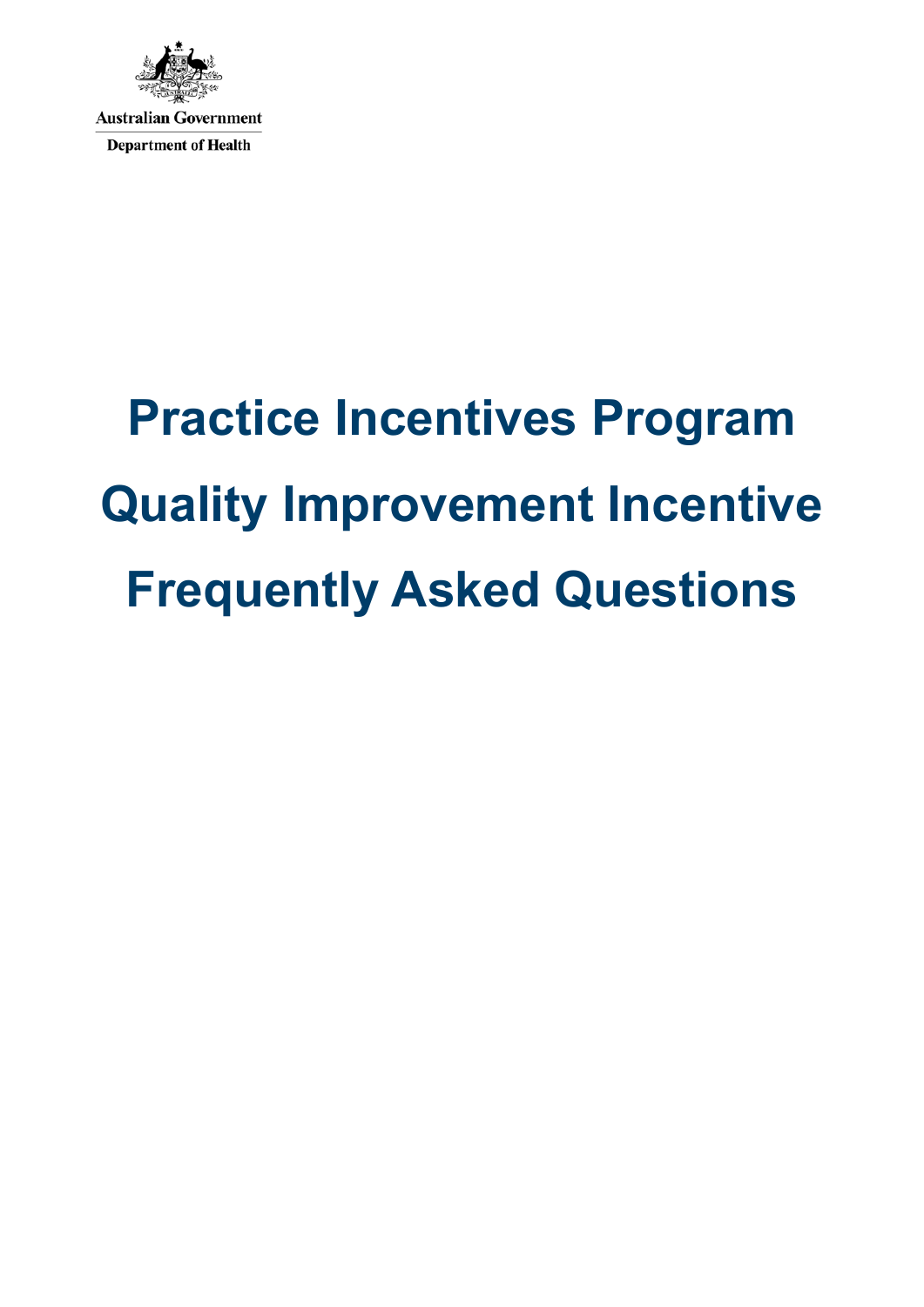

# **Practice Incentives Program Quality Improvement Incentive Frequently Asked Questions**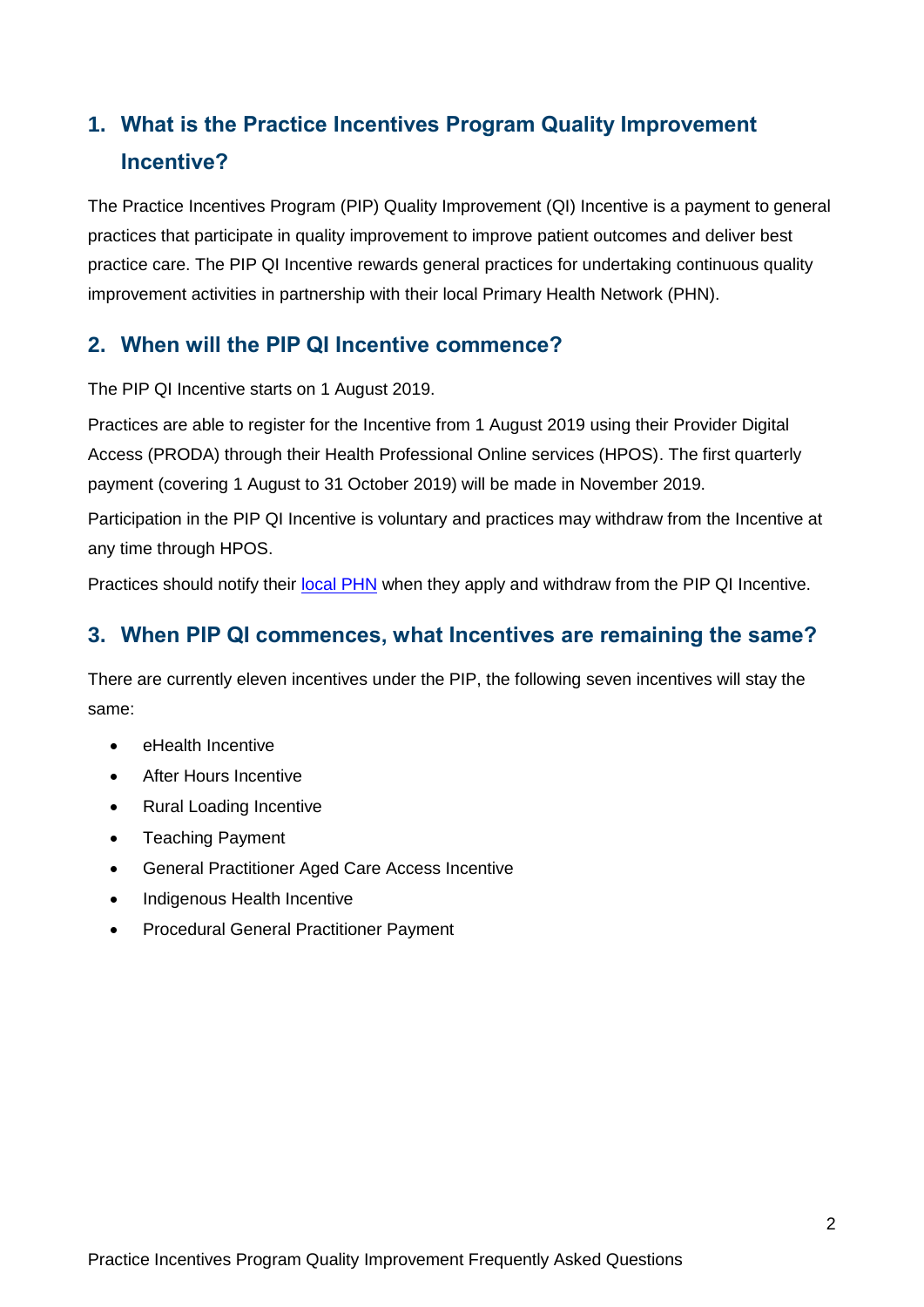## **1. What is the Practice Incentives Program Quality Improvement Incentive?**

The Practice Incentives Program (PIP) Quality Improvement (QI) Incentive is a payment to general practices that participate in quality improvement to improve patient outcomes and deliver best practice care. The PIP QI Incentive rewards general practices for undertaking continuous quality improvement activities in partnership with their local Primary Health Network (PHN).

#### **2. When will the PIP QI Incentive commence?**

The PIP QI Incentive starts on 1 August 2019.

Practices are able to register for the Incentive from 1 August 2019 using their Provider Digital Access (PRODA) through their Health Professional Online services (HPOS). The first quarterly payment (covering 1 August to 31 October 2019) will be made in November 2019.

Participation in the PIP QI Incentive is voluntary and practices may withdraw from the Incentive at any time through HPOS.

Practices should notify their [local PHN](https://www.health.gov.au/internet/main/publishing.nsf/Content/PHN-Contacts) when they apply and withdraw from the PIP QI Incentive.

### **3. When PIP QI commences, what Incentives are remaining the same?**

There are currently eleven incentives under the PIP, the following seven incentives will stay the same:

- eHealth Incentive
- **•** After Hours Incentive
- Rural Loading Incentive
- Teaching Payment
- General Practitioner Aged Care Access Incentive
- Indigenous Health Incentive
- Procedural General Practitioner Payment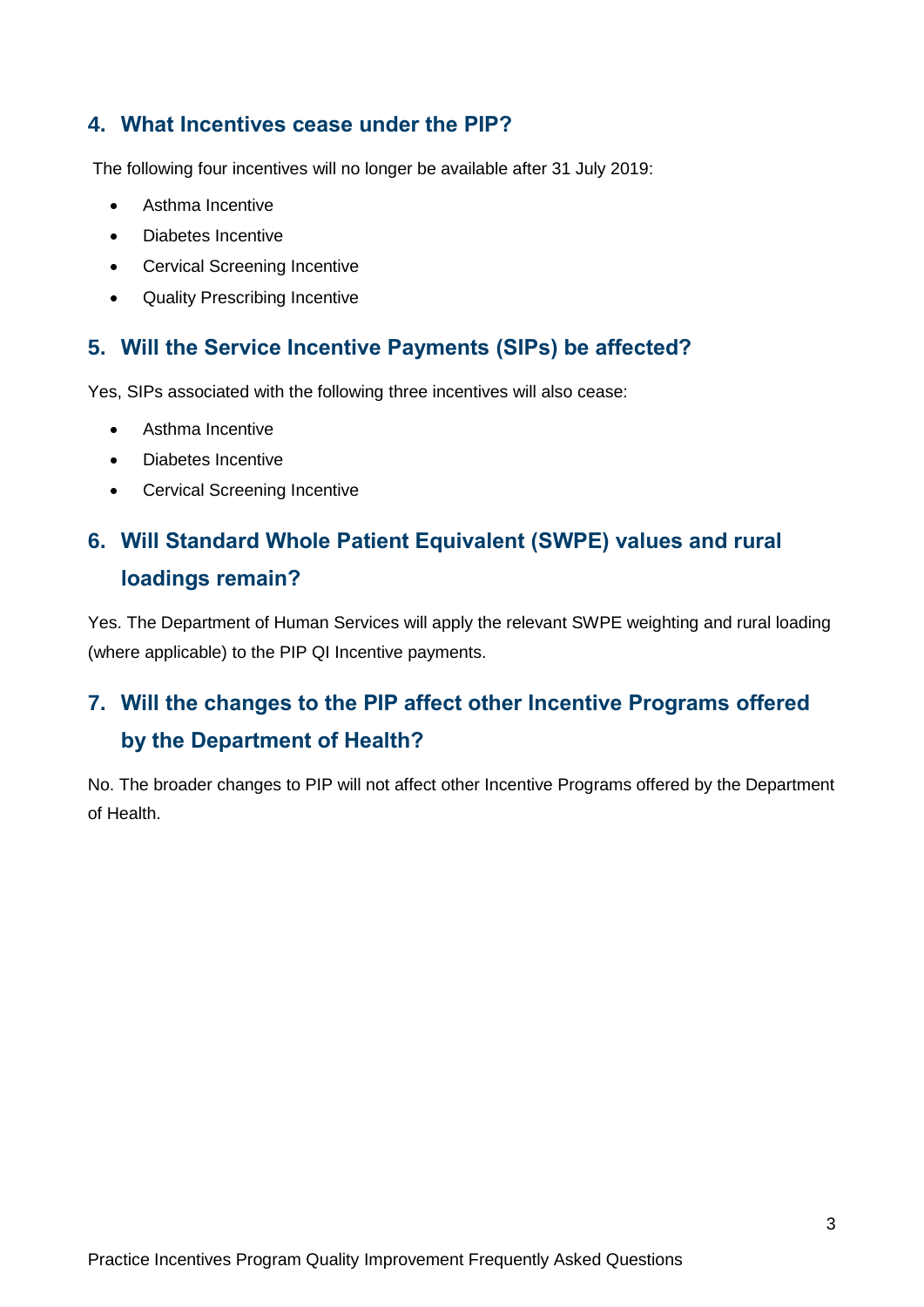#### **4. What Incentives cease under the PIP?**

The following four incentives will no longer be available after 31 July 2019:

- Asthma Incentive
- Diabetes Incentive
- Cervical Screening Incentive
- Quality Prescribing Incentive

### **5. Will the Service Incentive Payments (SIPs) be affected?**

Yes, SIPs associated with the following three incentives will also cease:

- Asthma Incentive
- Diabetes Incentive
- Cervical Screening Incentive

## **6. Will Standard Whole Patient Equivalent (SWPE) values and rural loadings remain?**

Yes. The Department of Human Services will apply the relevant SWPE weighting and rural loading (where applicable) to the PIP QI Incentive payments.

## **7. Will the changes to the PIP affect other Incentive Programs offered by the Department of Health?**

No. The broader changes to PIP will not affect other Incentive Programs offered by the Department of Health.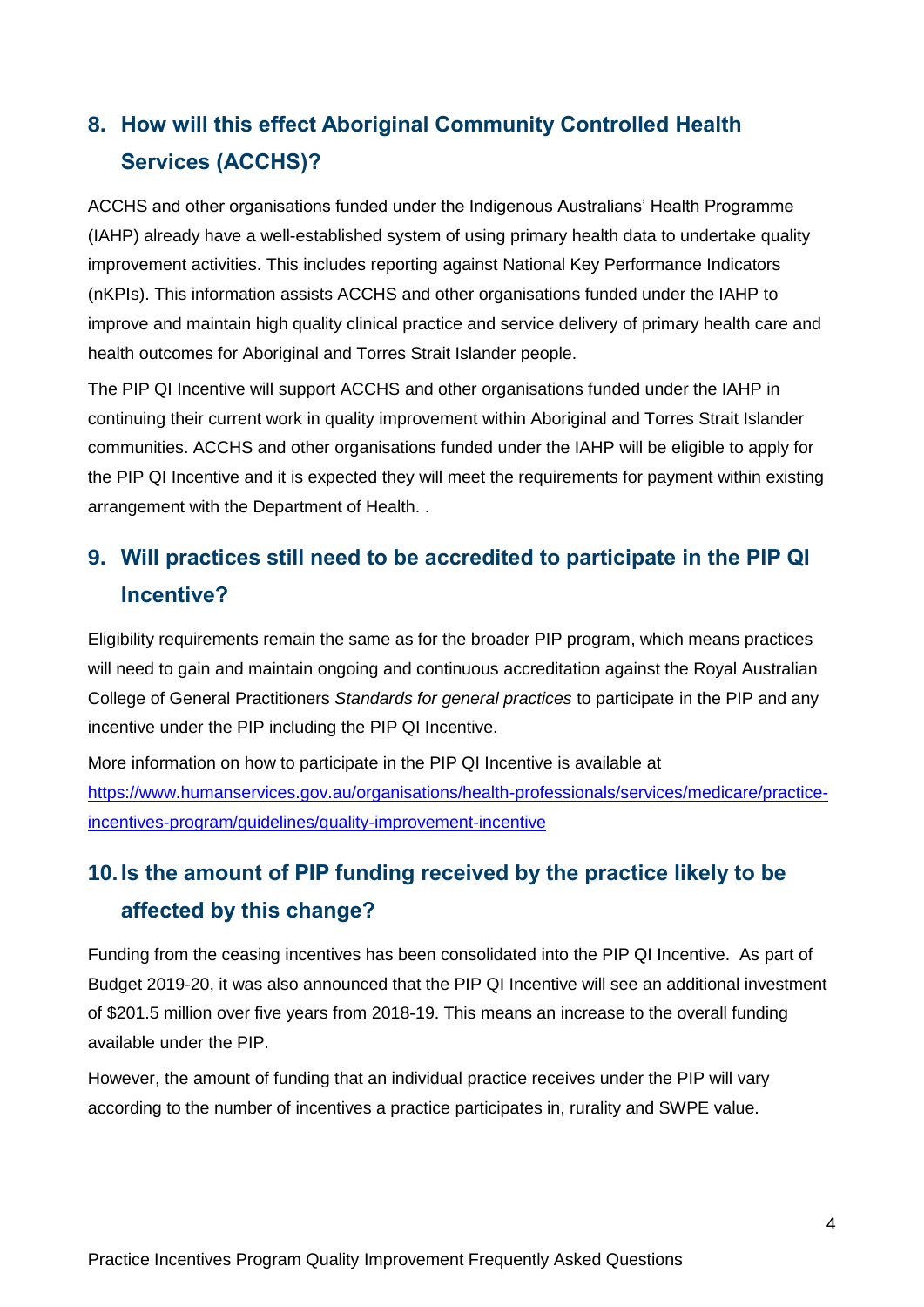## **8. How will this effect Aboriginal Community Controlled Health Services (ACCHS)?**

ACCHS and other organisations funded under the Indigenous Australians' Health Programme (IAHP) already have a well-established system of using primary health data to undertake quality improvement activities. This includes reporting against National Key Performance Indicators (nKPIs). This information assists ACCHS and other organisations funded under the IAHP to improve and maintain high quality clinical practice and service delivery of primary health care and health outcomes for Aboriginal and Torres Strait Islander people.

The PIP QI Incentive will support ACCHS and other organisations funded under the IAHP in continuing their current work in quality improvement within Aboriginal and Torres Strait Islander communities. ACCHS and other organisations funded under the IAHP will be eligible to apply for the PIP QI Incentive and it is expected they will meet the requirements for payment within existing arrangement with the Department of Health. .

## **9. Will practices still need to be accredited to participate in the PIP QI Incentive?**

Eligibility requirements remain the same as for the broader PIP program, which means practices will need to gain and maintain ongoing and continuous accreditation against the Royal Australian College of General Practitioners *Standards for general practices* to participate in the PIP and any incentive under the PIP including the PIP QI Incentive.

More information on how to participate in the PIP QI Incentive is available at [https://www.humanservices.gov.au/organisations/health-professionals/services/medicare/practice](https://www.humanservices.gov.au/organisations/health-professionals/services/medicare/practice-incentives-program/guidelines/quality-improvement-incentive)[incentives-program/guidelines/quality-improvement-incentive](https://www.humanservices.gov.au/organisations/health-professionals/services/medicare/practice-incentives-program/guidelines/quality-improvement-incentive)

## **10.Is the amount of PIP funding received by the practice likely to be affected by this change?**

Funding from the ceasing incentives has been consolidated into the PIP QI Incentive. As part of Budget 2019-20, it was also announced that the PIP QI Incentive will see an additional investment of \$201.5 million over five years from 2018-19. This means an increase to the overall funding available under the PIP.

However, the amount of funding that an individual practice receives under the PIP will vary according to the number of incentives a practice participates in, rurality and SWPE value.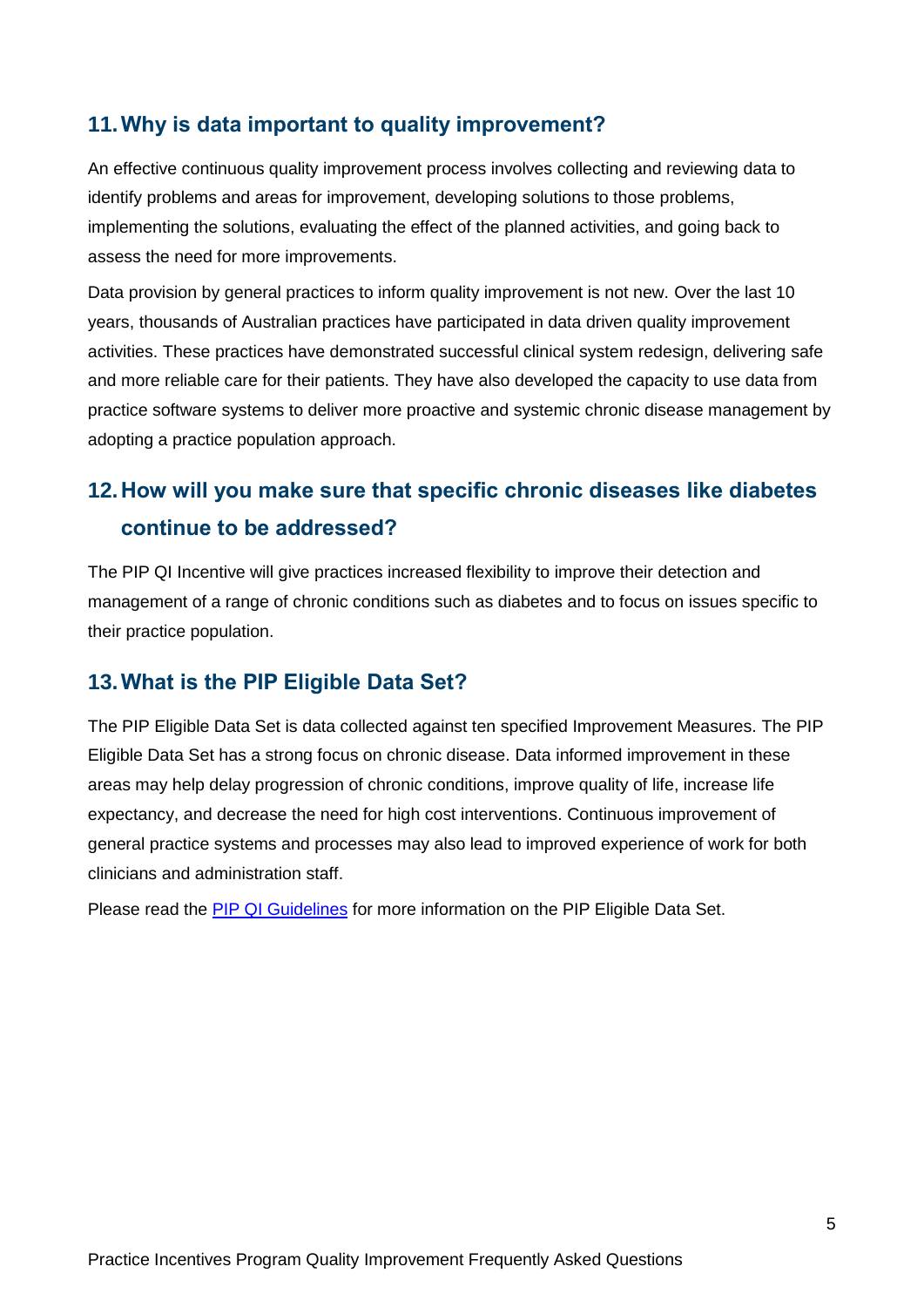## **11.Why is data important to quality improvement?**

An effective continuous quality improvement process involves collecting and reviewing data to identify problems and areas for improvement, developing solutions to those problems, implementing the solutions, evaluating the effect of the planned activities, and going back to assess the need for more improvements.

Data provision by general practices to inform quality improvement is not new. Over the last 10 years, thousands of Australian practices have participated in data driven quality improvement activities. These practices have demonstrated successful clinical system redesign, delivering safe and more reliable care for their patients. They have also developed the capacity to use data from practice software systems to deliver more proactive and systemic chronic disease management by adopting a practice population approach.

## **12.How will you make sure that specific chronic diseases like diabetes continue to be addressed?**

The PIP QI Incentive will give practices increased flexibility to improve their detection and management of a range of chronic conditions such as diabetes and to focus on issues specific to their practice population.

### **13.What is the PIP Eligible Data Set?**

The PIP Eligible Data Set is data collected against ten specified Improvement Measures. The PIP Eligible Data Set has a strong focus on chronic disease. Data informed improvement in these areas may help delay progression of chronic conditions, improve quality of life, increase life expectancy, and decrease the need for high cost interventions. Continuous improvement of general practice systems and processes may also lead to improved experience of work for both clinicians and administration staff.

Please read the [PIP QI Guidelines](https://www.health.gov.au/internet/main/publishing.nsf/Content/PIP-QI_Incentive_guidance) for more information on the PIP Eligible Data Set.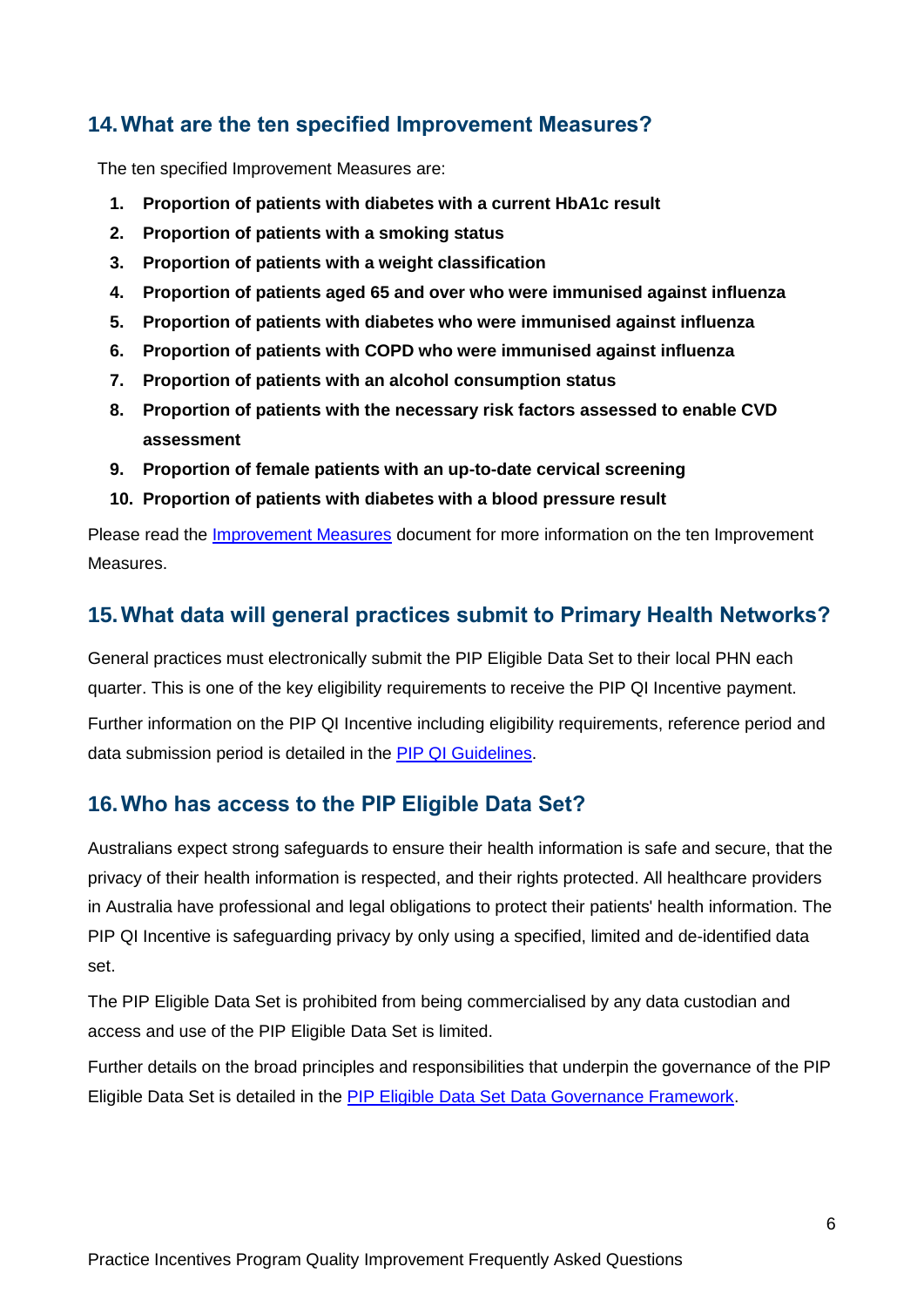### **14.What are the ten specified Improvement Measures?**

The ten specified Improvement Measures are:

- **1. Proportion of patients with diabetes with a current HbA1c result**
- **2. Proportion of patients with a smoking status**
- **3. Proportion of patients with a weight classification**
- **4. Proportion of patients aged 65 and over who were immunised against influenza**
- **5. Proportion of patients with diabetes who were immunised against influenza**
- **6. Proportion of patients with COPD who were immunised against influenza**
- **7. Proportion of patients with an alcohol consumption status**
- **8. Proportion of patients with the necessary risk factors assessed to enable CVD assessment**
- **9. Proportion of female patients with an up-to-date cervical screening**
- **10. Proportion of patients with diabetes with a blood pressure result**

Please read the [Improvement Measures](https://www.health.gov.au/internet/main/publishing.nsf/Content/PIP-QI_Incentive_guidance) document for more information on the ten Improvement Measures.

### **15.What data will general practices submit to Primary Health Networks?**

General practices must electronically submit the PIP Eligible Data Set to their local PHN each quarter. This is one of the key eligibility requirements to receive the PIP QI Incentive payment.

Further information on the PIP QI Incentive including eligibility requirements, reference period and data submission period is detailed in the [PIP QI Guidelines.](https://www.health.gov.au/internet/main/publishing.nsf/Content/PIP-QI_Incentive_guidance)

### **16.Who has access to the PIP Eligible Data Set?**

Australians expect strong safeguards to ensure their health information is safe and secure, that the privacy of their health information is respected, and their rights protected. All healthcare providers in Australia have professional and legal obligations to protect their patients' health information. The PIP QI Incentive is safeguarding privacy by only using a specified, limited and de-identified data set.

The PIP Eligible Data Set is prohibited from being commercialised by any data custodian and access and use of the PIP Eligible Data Set is limited.

Further details on the broad principles and responsibilities that underpin the governance of the PIP Eligible Data Set is detailed in the [PIP Eligible Data Set Data Governance Framework.](file://///central.health/DfsUserEnv/Users/User_23/MACHUM/Documents/:%20https:/www.health.gov.au/internet/main/publishing.nsf/Content/PIP-QI_Incentive_guidance)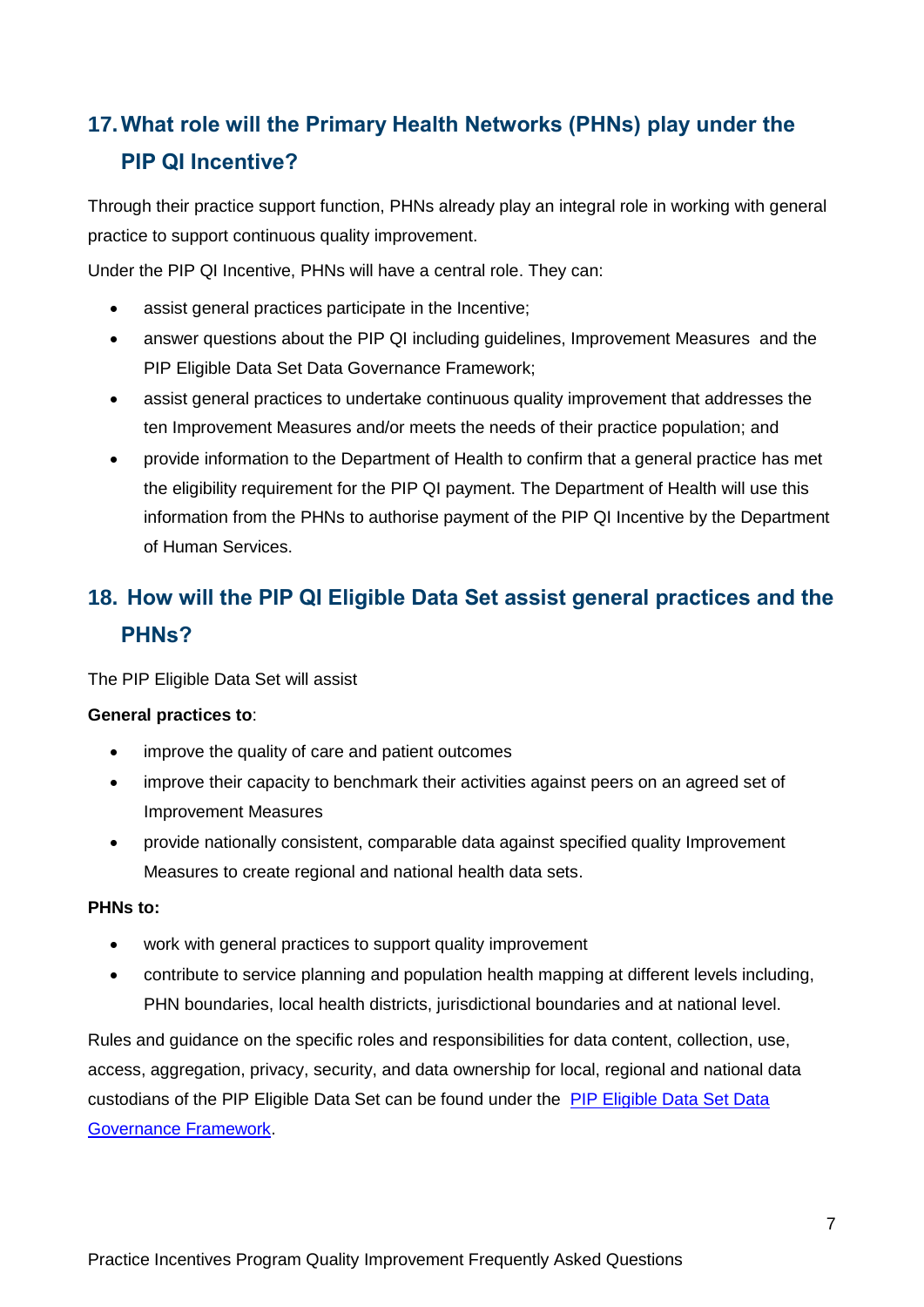## **17.What role will the Primary Health Networks (PHNs) play under the PIP QI Incentive?**

Through their practice support function, PHNs already play an integral role in working with general practice to support continuous quality improvement.

Under the PIP QI Incentive, PHNs will have a central role. They can:

- assist general practices participate in the Incentive;
- answer questions about the PIP QI including guidelines, Improvement Measures and the PIP Eligible Data Set Data Governance Framework;
- assist general practices to undertake continuous quality improvement that addresses the ten Improvement Measures and/or meets the needs of their practice population; and
- provide information to the Department of Health to confirm that a general practice has met the eligibility requirement for the PIP QI payment. The Department of Health will use this information from the PHNs to authorise payment of the PIP QI Incentive by the Department of Human Services.

## **18. How will the PIP QI Eligible Data Set assist general practices and the PHNs?**

The PIP Eligible Data Set will assist

#### **General practices to**:

- improve the quality of care and patient outcomes
- improve their capacity to benchmark their activities against peers on an agreed set of Improvement Measures
- provide nationally consistent, comparable data against specified quality Improvement Measures to create regional and national health data sets.

#### **PHNs to:**

- work with general practices to support quality improvement
- contribute to service planning and population health mapping at different levels including, PHN boundaries, local health districts, jurisdictional boundaries and at national level.

Rules and guidance on the specific roles and responsibilities for data content, collection, use, access, aggregation, privacy, security, and data ownership for local, regional and national data custodians of the PIP Eligible Data Set can be found under the [PIP Eligible Data Set Data](https://www.health.gov.au/internet/main/publishing.nsf/Content/PIP-QI_Incentive_guidance)  [Governance Framework.](https://www.health.gov.au/internet/main/publishing.nsf/Content/PIP-QI_Incentive_guidance)